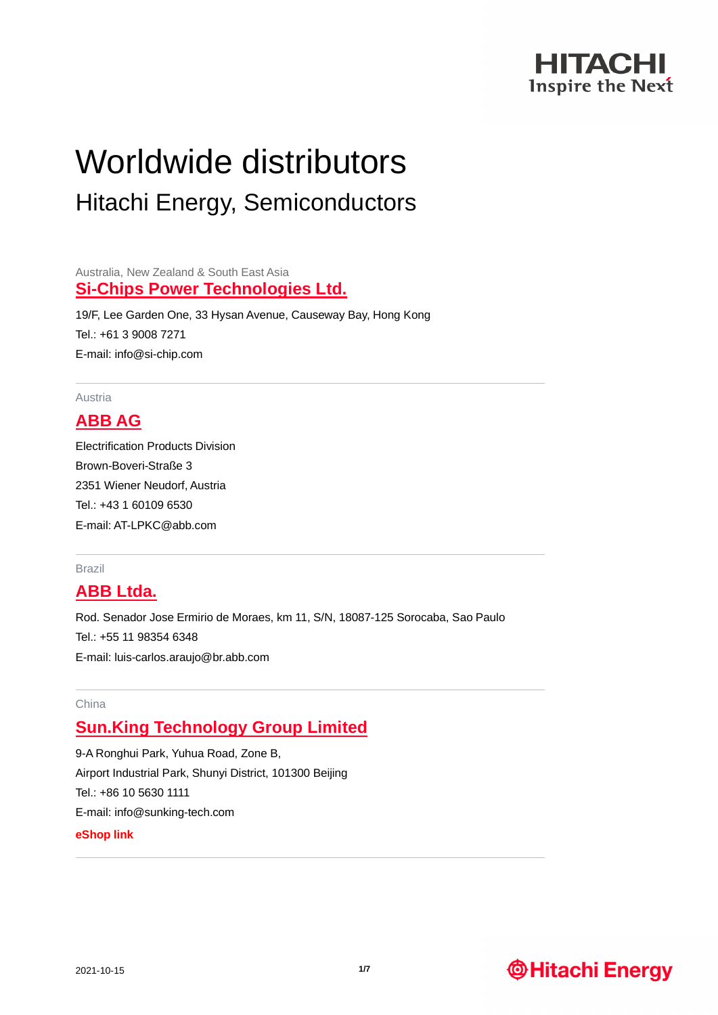

# Worldwide distributors Hitachi Energy, Semiconductors

Australia, New Zealand & South East Asia **[Si-Chips Power Technologies Ltd.](http://www.si-chip.com/)**

19/F, Lee Garden One, 33 Hysan Avenue, Causeway Bay, Hong Kong Tel.: +61 3 9008 7271 E-mail: info@si-chip.com

Austria

# **[ABB AG](https://new.abb.com/)**

Electrification Products Division Brown-Boveri-Straße 3 2351 Wiener Neudorf, Austria Tel.: +43 1 60109 6530 E-mail: AT-LPKC@abb.com

#### Brazil

### **[ABB Ltda.](https://new.abb.com/)**

Rod. Senador Jose Ermirio de Moraes, km 11, S/N, 18087-125 Sorocaba, Sao Paulo Tel.: +55 11 98354 6348 E-mail: [luis-carlos.araujo@br.abb.com](mailto:luis-carlos.araujo@br.abb.com)

### China

# **[Sun.King Technology Group Limited](http://www.sunking-tech.com/)**

9-A Ronghui Park, Yuhua Road, Zone B, Airport Industrial Park, Shunyi District, 101300 Beijing Tel.: +86 10 5630 1111 E-mail: info@sunking-tech.com **[eShop link](https://sunkingshop.1688.com/)**

# **@Hitachi Energy**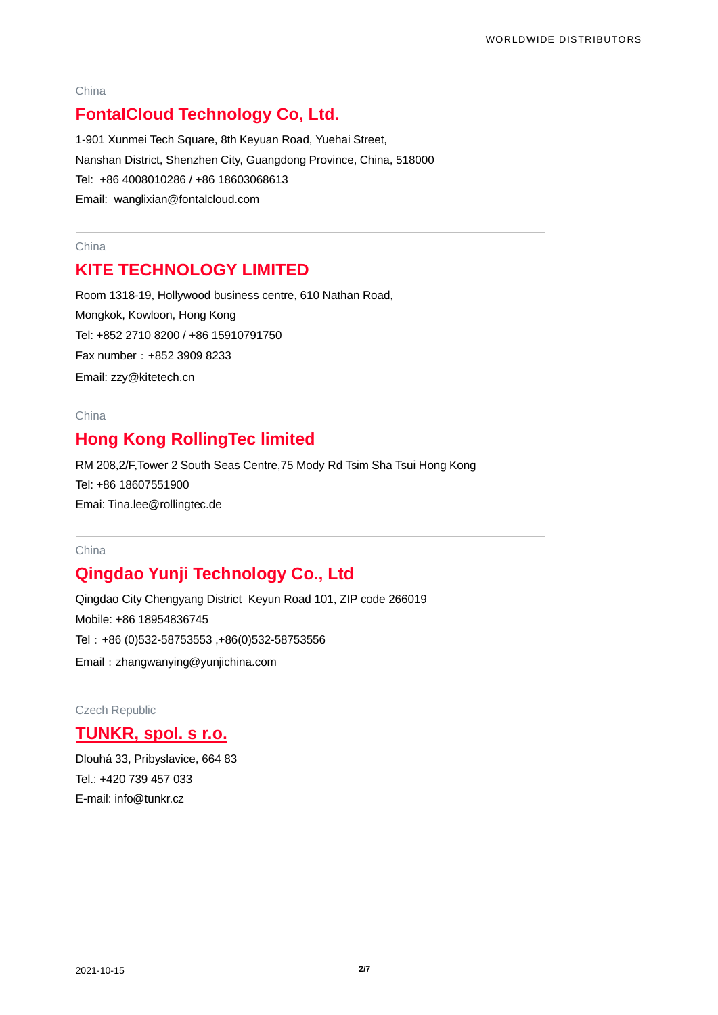#### China

# **[FontalCloud Technology Co, Ltd.](http://www.fontalcloud.com/)**

1-901 Xunmei Tech Square, 8th Keyuan Road, Yuehai Street, Nanshan District, Shenzhen City, Guangdong Province, China, 518000 Tel: +86 4008010286 / +86 18603068613 Email: [wanglixian@fontalcloud.com](mailto:wanglixian@fontalcloud.com)

#### China

# **KITE TECHNOLOGY LIMITED**

Room 1318-19, Hollywood business centre, 610 Nathan Road, Mongkok, Kowloon, Hong Kong Tel: +852 2710 8200 / +86 15910791750 Fax number:+852 3909 8233 Email: [zzy@kitetech.cn](mailto:zzy@kitetech.cn)

### **China**

# **Hong Kong RollingTec limited**

RM 208,2/F,Tower 2 South Seas Centre,75 Mody Rd Tsim Sha Tsui Hong Kong Tel: +86 18607551900 Emai: [Tina.lee@rollingtec.de](mailto:Tina.lee@rollingtec.de)

### China

# **Qingdao Yunji Technology Co., Ltd**

Qingdao City Chengyang District Keyun Road 101, ZIP code 266019 Mobile: +86 18954836745 Tel:+86 (0)532-58753553 ,+86(0)532-58753556 Email:[zhangwanying@yunjichina.com](mailto:zhangwanying@yunjichina.com)

Czech Republic

### **[TUNKR, spol. s r.o.](http://www.tunkr.cz/)**

Dlouhá 33, Pribyslavice, 664 83 Tel.: +420 739 457 033 E-mail: info@tunkr.cz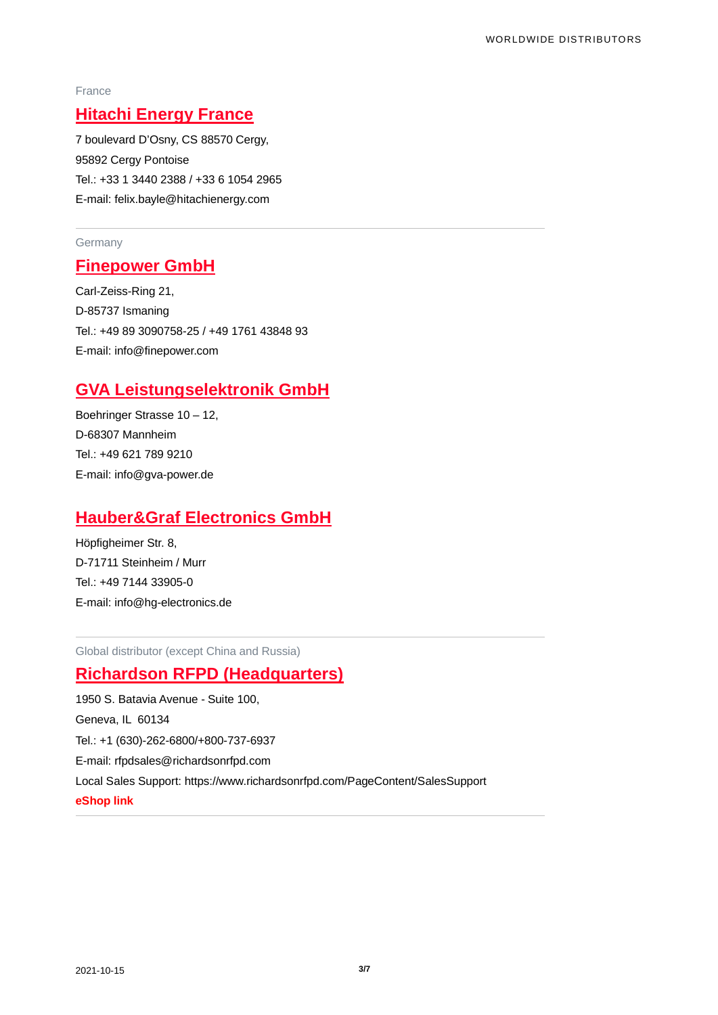#### France

# **Hitachi Energy France**

7 boulevard D'Osny, CS 88570 Cergy, 95892 Cergy Pontoise Tel.: +33 1 3440 2388 / +33 6 1054 2965 E-mail: felix.bayle@hitachienergy.com

### **Germany**

### **[Finepower GmbH](http://www.finepower.com/)**

Carl-Zeiss-Ring 21, D-85737 Ismaning Tel.: +49 89 3090758-25 / +49 1761 43848 93 E-mail: info@finepower.com

# **[GVA Leistungselektronik GmbH](http://www.gva-power.de/)**

Boehringer Strasse 10 – 12, D-68307 Mannheim Tel.: +49 621 789 9210 E-mail: [info@gva-power.de](mailto:info@gva-power.de)

### **[Hauber&Graf Electronics GmbH](http://www.hg-electronics.de/)**

Höpfigheimer Str. 8, D-71711 Steinheim / Murr Tel.: +49 7144 33905-0 E-mail: [info@hg-electronics.de](mailto:info@hg-electronics.de)

Global distributor (except China and Russia)

# **Richardson RFPD (Headquarters)**

1950 S. Batavia Avenue - Suite 100, Geneva, IL 60134 Tel.: +1 (630)-262-6800/+800-737-6937 E-mail: [rfpdsales@richardsonrfpd.com](mailto:rfpdsales@richardsonrfpd.com) Local Sales Support: https://www.richardsonrfpd.com/PageContent/SalesSupport **[eShop link](https://www.richardsonrfpd.com/Supplier/Index/ABB)**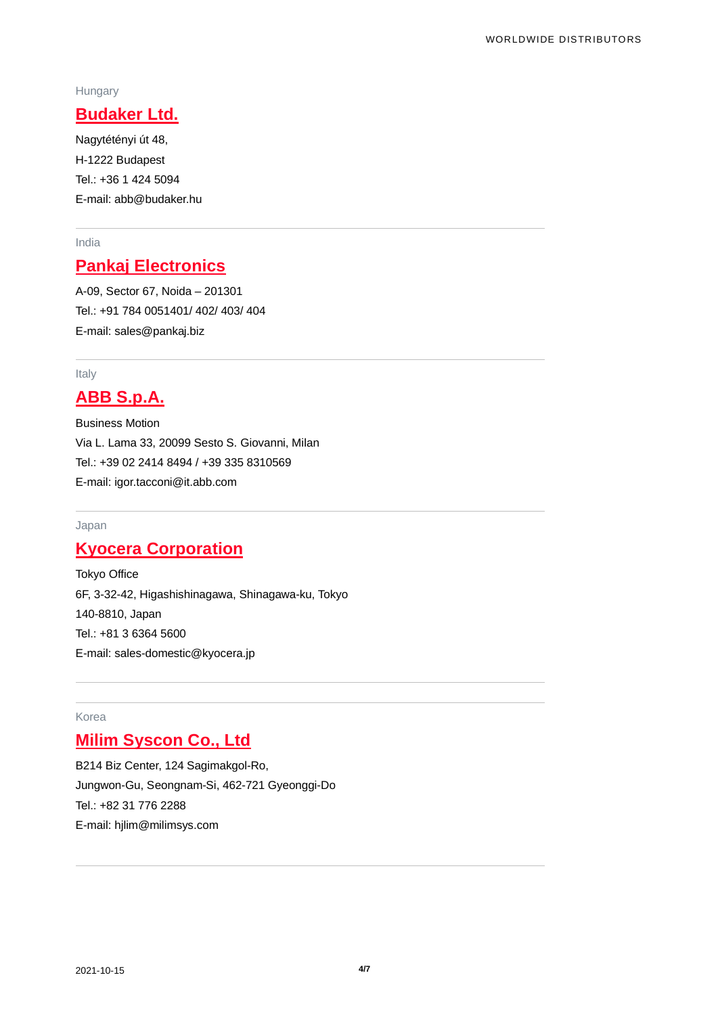### Hungary

# **[Budaker Ltd.](http://www.budaker.hu/)**

Nagytétényi út 48, H-1222 Budapest Tel.: +36 1 424 5094 E-mail: abb@budaker.hu

### India

# **[Pankaj Electronics](http://www.pankajelectronics.com/)**

A-09, Sector 67, Noida – 201301 Tel.: +91 784 0051401/ 402/ 403/ 404 E-mail: sales@pankaj.biz

#### Italy

# **[ABB S.p.A.](https://new.abb.com/)**

Business Motion Via L. Lama 33, 20099 Sesto S. Giovanni, Milan Tel.: +39 02 2414 8494 / +39 335 8310569 E-mail: igor.tacconi@it.abb.com

### Japan

# **[Kyocera Corporation](http://www.global.kyocera.com/)**

Tokyo Office 6F, 3-32-42, Higashishinagawa, Shinagawa-ku, Tokyo 140-8810, Japan Tel.: +81 3 6364 5600 E-mail: [sales-domestic@kyocera.jp](mailto:sales-domestic@kyocera.jp)

### Korea

# **[Milim Syscon Co., Ltd](http://www.milimsys.com/)**

B214 Biz Center, 124 Sagimakgol-Ro, Jungwon-Gu, Seongnam-Si, 462-721 Gyeonggi-Do Tel.: +82 31 776 2288 E-mail: hjlim@milimsys.com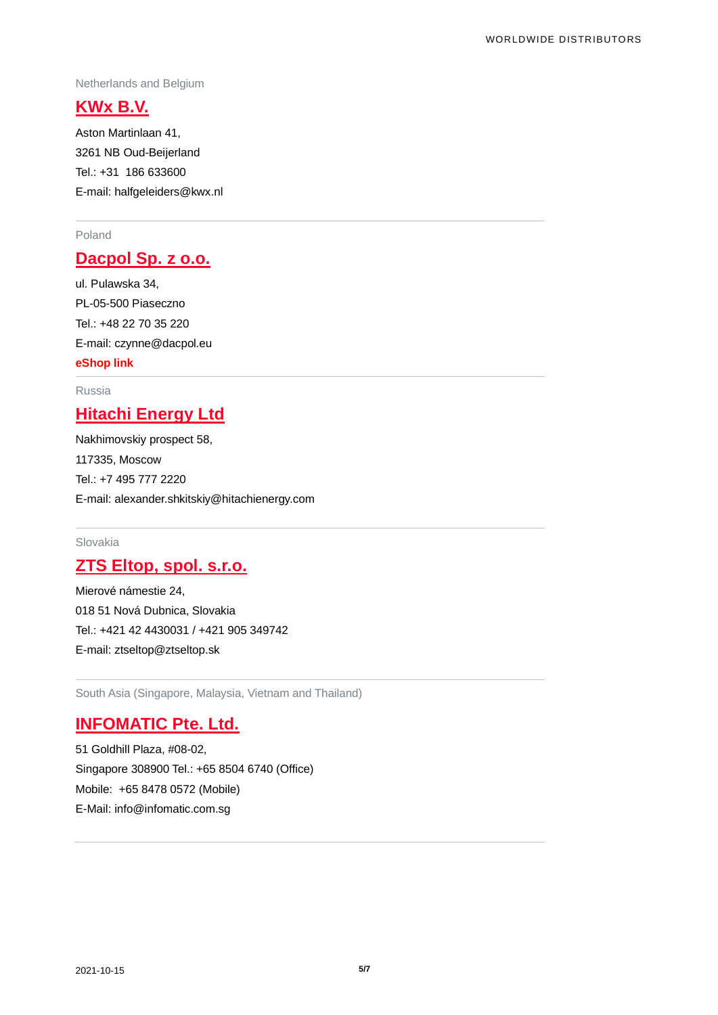#### Netherlands and Belgium

### **[KWx B.V.](http://www.kwx.nl/)**

Aston Martinlaan 41, 3261 NB Oud-Beijerland Tel.: +31 186 633600 E-mail: halfgeleiders@kwx.nl

### Poland

# **[Dacpol Sp. z o.o.](http://www.dacpol.eu/en)**

ul. Pulawska 34, PL-05-500 Piaseczno Tel.: +48 22 70 35 220 E-mail: [czynne@dacpol.eu](mailto:czynne@dacpol.eu) **[eShop link](https://www.dacpol.eu/en/moduly-abb)**

#### Russia

# **Hitachi Energy Ltd**

Nakhimovskiy prospect 58, 117335, Moscow Tel.: +7 495 777 2220 E-mail: alexander.shkitskiy@hitachienergy.com

### Slovakia

# **[ZTS Eltop, spol. s.r.o.](http://www.ztseltop.sk/)**

Mierové námestie 24, 018 51 Nová Dubnica, Slovakia Tel.: +421 42 4430031 / +421 905 349742 E-mail: ztseltop@ztseltop.sk

South Asia (Singapore, Malaysia, Vietnam and Thailand)

# **INFOMATIC Pte. Ltd.**

51 Goldhill Plaza, #08-02, Singapore 308900 Tel.: +65 8504 6740 (Office) Mobile: +65 8478 0572 (Mobile) E-Mail: [info@infomatic.com.sg](mailto:info@infomatic.com.sg)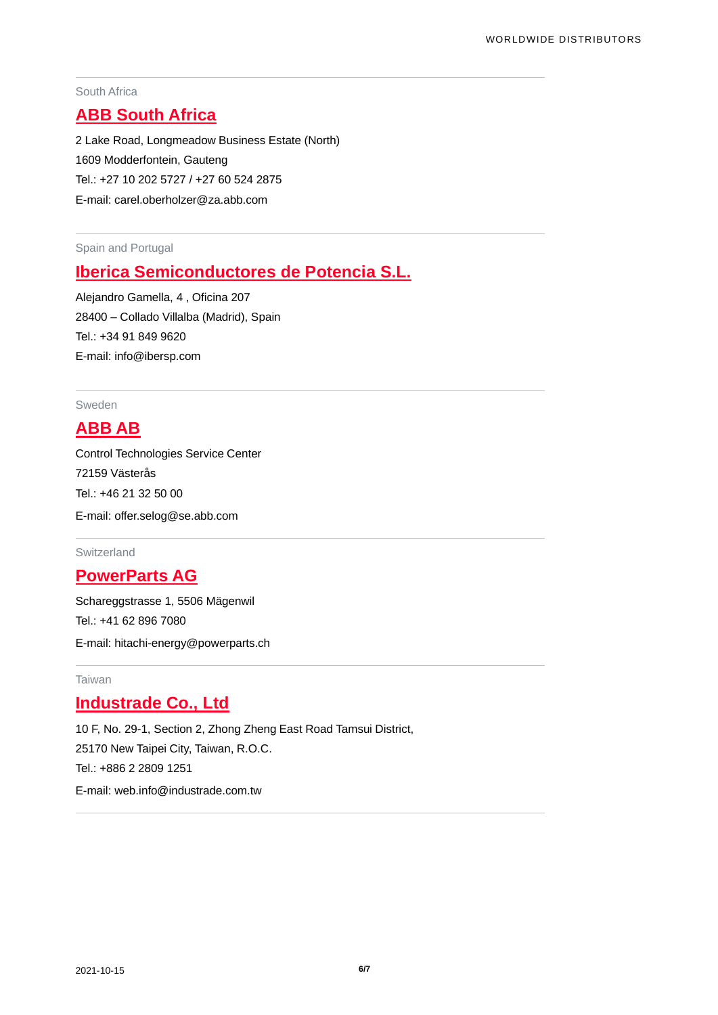### South Africa

# **[ABB South Africa](https://new.abb.com/)**

2 Lake Road, Longmeadow Business Estate (North) 1609 Modderfontein, Gauteng Tel.: +27 10 202 5727 / +27 60 524 2875 E-mail: [carel.oberholzer@za.abb.com](mailto:carel.oberholzer@za.abb.com)

Spain and Portugal

# **[Iberica Semiconductores de Potencia S.L.](http://www.ibersp.com/)**

Alejandro Gamella, 4 , Oficina 207 28400 – Collado Villalba (Madrid), Spain Tel.: +34 91 849 9620 E-mail: [info@ibersp.com](mailto:info@ibersp.com)

### Sweden

### **[ABB AB](https://new.abb.com/)**

Control Technologies Service Center 72159 Västerås Tel.: +46 21 32 50 00 E-mail: offer.selog@se.abb.com

#### Switzerland

### **[PowerParts AG](http://www.powerparts.ch/)**

Schareggstrasse 1, 5506 Mägenwil Tel.: +41 62 896 7080 E-mail: hitachi-energy@powerparts.ch

### Taiwan

### **[Industrade Co., Ltd](http://www.industrade.com.tw/)**

10 F, No. 29-1, Section 2, Zhong Zheng East Road Tamsui District, 25170 New Taipei City, Taiwan, R.O.C. Tel.: +886 2 2809 1251 E-mail: web.info@industrade.com.tw